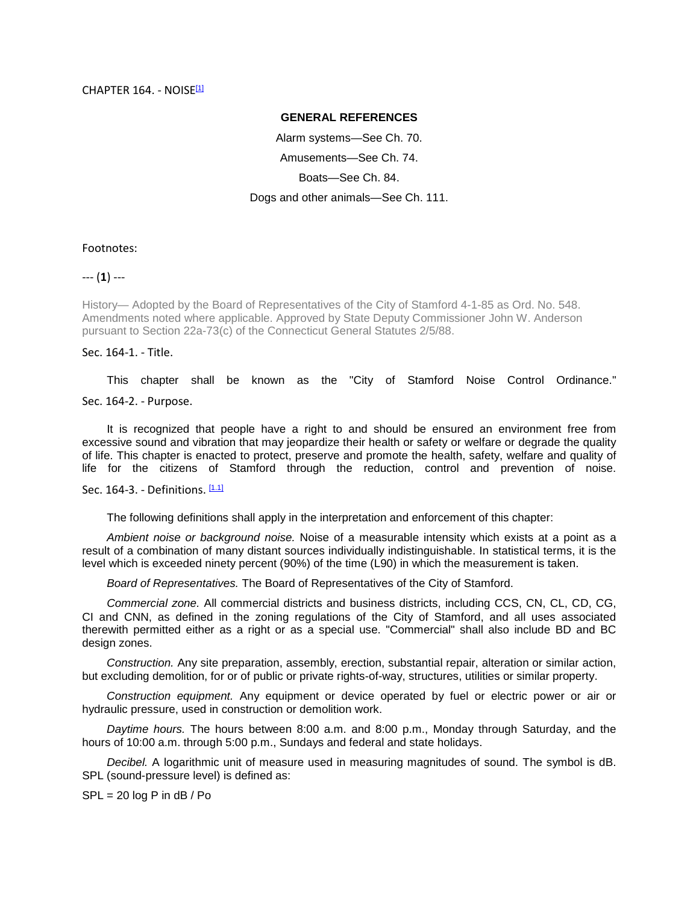## **GENERAL REFERENCES**

Alarm systems—See Ch. 70. Amusements—See Ch. 74. Boats—See Ch. 84. Dogs and other animals—See Ch. 111.

Footnotes:

--- (**1**) ---

History— Adopted by the Board of Representatives of the City of Stamford 4-1-85 as Ord. No. 548. Amendments noted where applicable. Approved by State Deputy Commissioner John W. Anderson pursuant to Section 22a-73(c) of the Connecticut General Statutes 2/5/88.

Sec. 164-1. - Title.

This chapter shall be known as the "City of Stamford Noise Control Ordinance."

Sec. 164-2. - Purpose.

It is recognized that people have a right to and should be ensured an environment free from excessive sound and vibration that may jeopardize their health or safety or welfare or degrade the quality of life. This chapter is enacted to protect, preserve and promote the health, safety, welfare and quality of life for the citizens of Stamford through the reduction, control and prevention of noise.

Sec. 164-3. - Definitions. [1.1]

The following definitions shall apply in the interpretation and enforcement of this chapter:

*Ambient noise or background noise.* Noise of a measurable intensity which exists at a point as a result of a combination of many distant sources individually indistinguishable. In statistical terms, it is the level which is exceeded ninety percent (90%) of the time (L90) in which the measurement is taken.

*Board of Representatives.* The Board of Representatives of the City of Stamford.

*Commercial zone.* All commercial districts and business districts, including CCS, CN, CL, CD, CG, CI and CNN, as defined in the zoning regulations of the City of Stamford, and all uses associated therewith permitted either as a right or as a special use. "Commercial" shall also include BD and BC design zones.

*Construction.* Any site preparation, assembly, erection, substantial repair, alteration or similar action, but excluding demolition, for or of public or private rights-of-way, structures, utilities or similar property.

*Construction equipment.* Any equipment or device operated by fuel or electric power or air or hydraulic pressure, used in construction or demolition work.

*Daytime hours.* The hours between 8:00 a.m. and 8:00 p.m., Monday through Saturday, and the hours of 10:00 a.m. through 5:00 p.m., Sundays and federal and state holidays.

*Decibel.* A logarithmic unit of measure used in measuring magnitudes of sound. The symbol is dB. SPL (sound-pressure level) is defined as:

 $SPL = 20 log P in dB / Po$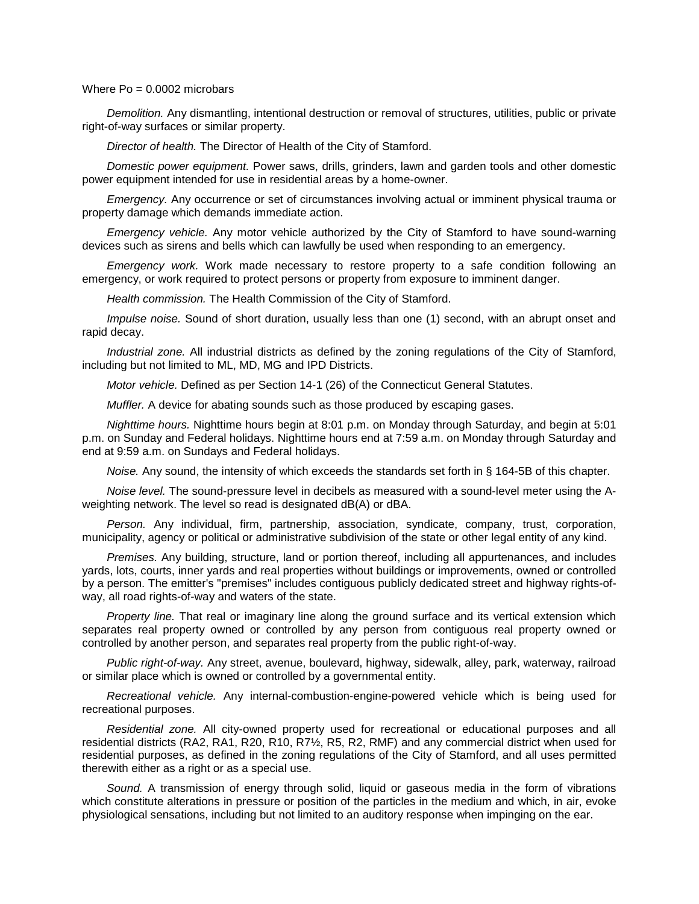## Where  $Po = 0.0002$  microbars

*Demolition.* Any dismantling, intentional destruction or removal of structures, utilities, public or private right-of-way surfaces or similar property.

*Director of health.* The Director of Health of the City of Stamford.

*Domestic power equipment.* Power saws, drills, grinders, lawn and garden tools and other domestic power equipment intended for use in residential areas by a home-owner.

*Emergency.* Any occurrence or set of circumstances involving actual or imminent physical trauma or property damage which demands immediate action.

*Emergency vehicle.* Any motor vehicle authorized by the City of Stamford to have sound-warning devices such as sirens and bells which can lawfully be used when responding to an emergency.

*Emergency work.* Work made necessary to restore property to a safe condition following an emergency, or work required to protect persons or property from exposure to imminent danger.

*Health commission.* The Health Commission of the City of Stamford.

*Impulse noise.* Sound of short duration, usually less than one (1) second, with an abrupt onset and rapid decay.

*Industrial zone.* All industrial districts as defined by the zoning regulations of the City of Stamford, including but not limited to ML, MD, MG and IPD Districts.

*Motor vehicle.* Defined as per Section 14-1 (26) of the Connecticut General Statutes.

*Muffler.* A device for abating sounds such as those produced by escaping gases.

*Nighttime hours.* Nighttime hours begin at 8:01 p.m. on Monday through Saturday, and begin at 5:01 p.m. on Sunday and Federal holidays. Nighttime hours end at 7:59 a.m. on Monday through Saturday and end at 9:59 a.m. on Sundays and Federal holidays.

*Noise.* Any sound, the intensity of which exceeds the standards set forth in § 164-5B of this chapter.

*Noise level.* The sound-pressure level in decibels as measured with a sound-level meter using the Aweighting network. The level so read is designated dB(A) or dBA.

*Person.* Any individual, firm, partnership, association, syndicate, company, trust, corporation, municipality, agency or political or administrative subdivision of the state or other legal entity of any kind.

*Premises.* Any building, structure, land or portion thereof, including all appurtenances, and includes yards, lots, courts, inner yards and real properties without buildings or improvements, owned or controlled by a person. The emitter's "premises" includes contiguous publicly dedicated street and highway rights-ofway, all road rights-of-way and waters of the state.

*Property line.* That real or imaginary line along the ground surface and its vertical extension which separates real property owned or controlled by any person from contiguous real property owned or controlled by another person, and separates real property from the public right-of-way.

*Public right-of-way.* Any street, avenue, boulevard, highway, sidewalk, alley, park, waterway, railroad or similar place which is owned or controlled by a governmental entity.

*Recreational vehicle.* Any internal-combustion-engine-powered vehicle which is being used for recreational purposes.

*Residential zone.* All city-owned property used for recreational or educational purposes and all residential districts (RA2, RA1, R20, R10, R7½, R5, R2, RMF) and any commercial district when used for residential purposes, as defined in the zoning regulations of the City of Stamford, and all uses permitted therewith either as a right or as a special use.

*Sound.* A transmission of energy through solid, liquid or gaseous media in the form of vibrations which constitute alterations in pressure or position of the particles in the medium and which, in air, evoke physiological sensations, including but not limited to an auditory response when impinging on the ear.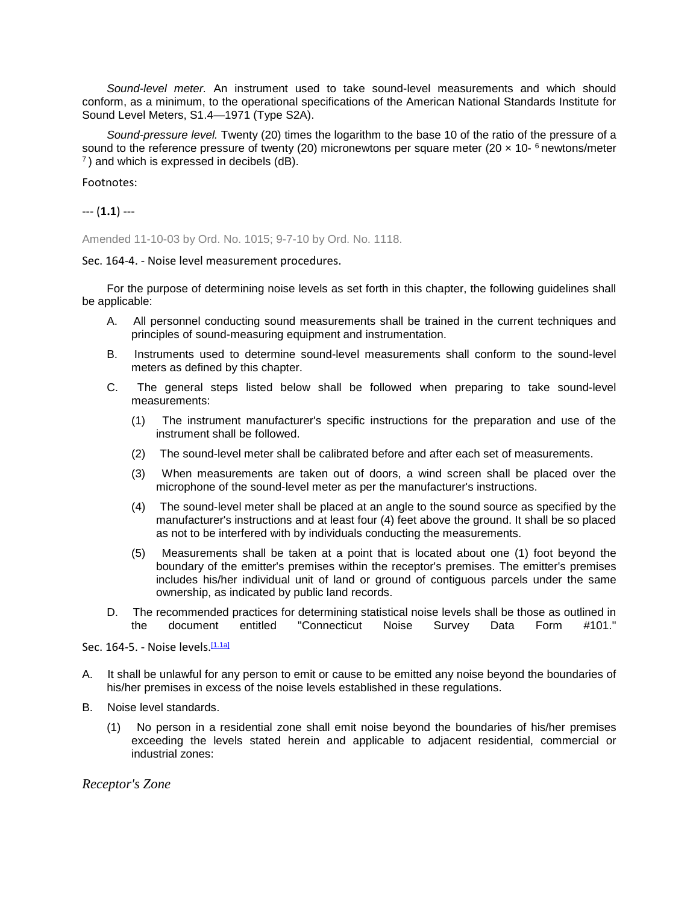*Sound-level meter.* An instrument used to take sound-level measurements and which should conform, as a minimum, to the operational specifications of the American National Standards Institute for Sound Level Meters, S1.4—1971 (Type S2A).

*Sound-pressure level.* Twenty (20) times the logarithm to the base 10 of the ratio of the pressure of a sound to the reference pressure of twenty (20) micronewtons per square meter (20  $\times$  10-  $^6$  newtons/meter  $^7$ ) and which is expressed in decibels (dB).

Footnotes:

--- (**1.1**) ---

Amended 11-10-03 by Ord. No. 1015; 9-7-10 by Ord. No. 1118.

Sec. 164-4. - Noise level measurement procedures.

For the purpose of determining noise levels as set forth in this chapter, the following guidelines shall be applicable:

- A. All personnel conducting sound measurements shall be trained in the current techniques and principles of sound-measuring equipment and instrumentation.
- B. Instruments used to determine sound-level measurements shall conform to the sound-level meters as defined by this chapter.
- C. The general steps listed below shall be followed when preparing to take sound-level measurements:
	- (1) The instrument manufacturer's specific instructions for the preparation and use of the instrument shall be followed.
	- (2) The sound-level meter shall be calibrated before and after each set of measurements.
	- (3) When measurements are taken out of doors, a wind screen shall be placed over the microphone of the sound-level meter as per the manufacturer's instructions.
	- (4) The sound-level meter shall be placed at an angle to the sound source as specified by the manufacturer's instructions and at least four (4) feet above the ground. It shall be so placed as not to be interfered with by individuals conducting the measurements.
	- (5) Measurements shall be taken at a point that is located about one (1) foot beyond the boundary of the emitter's premises within the receptor's premises. The emitter's premises includes his/her individual unit of land or ground of contiguous parcels under the same ownership, as indicated by public land records.
- D. The recommended practices for determining statistical noise levels shall be those as outlined in the document entitled "Connecticut Noise Survey Data Form #101." the document entitled "Connecticut Noise Survey Data Form

Sec. 164-5. - Noise levels.<sup>[<u>1.1a</u>]</sup>

- A. It shall be unlawful for any person to emit or cause to be emitted any noise beyond the boundaries of his/her premises in excess of the noise levels established in these regulations.
- B. Noise level standards.
	- (1) No person in a residential zone shall emit noise beyond the boundaries of his/her premises exceeding the levels stated herein and applicable to adjacent residential, commercial or industrial zones:

*Receptor's Zone*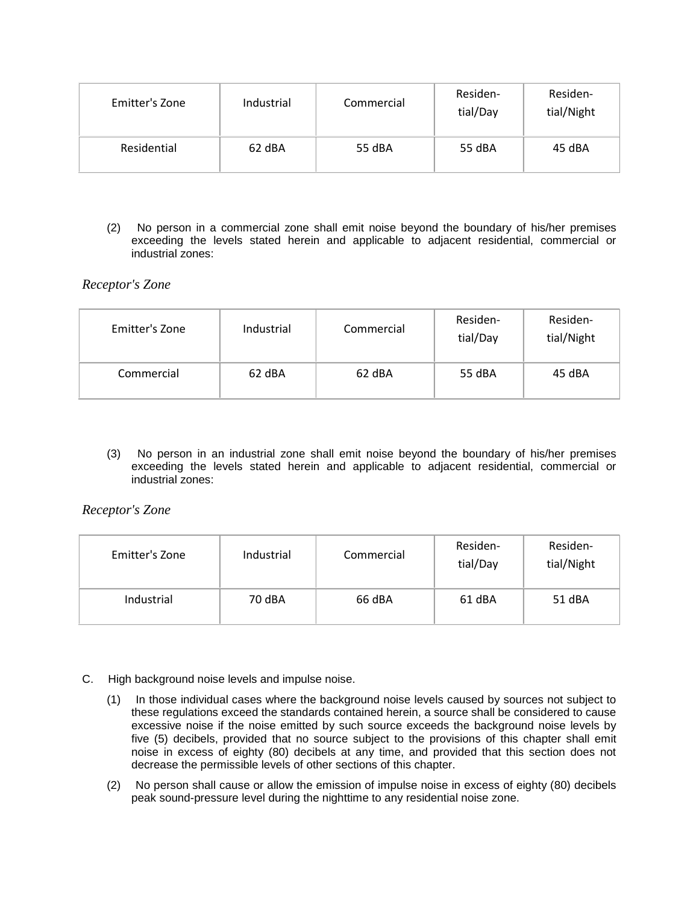| Emitter's Zone | Industrial | Commercial | Residen-<br>tial/Day | Residen-<br>tial/Night |
|----------------|------------|------------|----------------------|------------------------|
| Residential    | 62 dBA     | 55 dBA     | 55 dBA               | 45 dBA                 |

(2) No person in a commercial zone shall emit noise beyond the boundary of his/her premises exceeding the levels stated herein and applicable to adjacent residential, commercial or industrial zones:

*Receptor's Zone*

| Emitter's Zone | Industrial | Commercial | Residen-<br>tial/Day | Residen-<br>tial/Night |
|----------------|------------|------------|----------------------|------------------------|
| Commercial     | 62 dBA     | 62 dBA     | 55 dBA               | 45 dBA                 |

(3) No person in an industrial zone shall emit noise beyond the boundary of his/her premises exceeding the levels stated herein and applicable to adjacent residential, commercial or industrial zones:

*Receptor's Zone*

| Emitter's Zone | Industrial | Commercial | Residen-<br>tial/Day | Residen-<br>tial/Night |
|----------------|------------|------------|----------------------|------------------------|
| Industrial     | 70 dBA     | 66 dBA     | 61 dBA               | 51 dBA                 |

- C. High background noise levels and impulse noise.
	- (1) In those individual cases where the background noise levels caused by sources not subject to these regulations exceed the standards contained herein, a source shall be considered to cause excessive noise if the noise emitted by such source exceeds the background noise levels by five (5) decibels, provided that no source subject to the provisions of this chapter shall emit noise in excess of eighty (80) decibels at any time, and provided that this section does not decrease the permissible levels of other sections of this chapter.
	- (2) No person shall cause or allow the emission of impulse noise in excess of eighty (80) decibels peak sound-pressure level during the nighttime to any residential noise zone.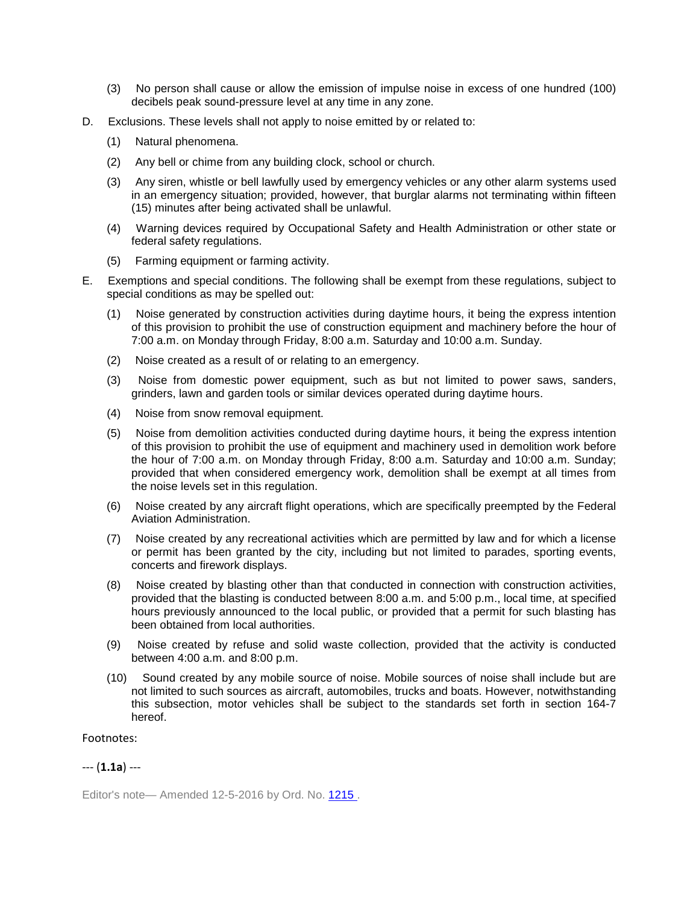- (3) No person shall cause or allow the emission of impulse noise in excess of one hundred (100) decibels peak sound-pressure level at any time in any zone.
- D. Exclusions. These levels shall not apply to noise emitted by or related to:
	- (1) Natural phenomena.
	- (2) Any bell or chime from any building clock, school or church.
	- (3) Any siren, whistle or bell lawfully used by emergency vehicles or any other alarm systems used in an emergency situation; provided, however, that burglar alarms not terminating within fifteen (15) minutes after being activated shall be unlawful.
	- (4) Warning devices required by Occupational Safety and Health Administration or other state or federal safety regulations.
	- (5) Farming equipment or farming activity.
- E. Exemptions and special conditions. The following shall be exempt from these regulations, subject to special conditions as may be spelled out:
	- (1) Noise generated by construction activities during daytime hours, it being the express intention of this provision to prohibit the use of construction equipment and machinery before the hour of 7:00 a.m. on Monday through Friday, 8:00 a.m. Saturday and 10:00 a.m. Sunday.
	- (2) Noise created as a result of or relating to an emergency.
	- (3) Noise from domestic power equipment, such as but not limited to power saws, sanders, grinders, lawn and garden tools or similar devices operated during daytime hours.
	- (4) Noise from snow removal equipment.
	- (5) Noise from demolition activities conducted during daytime hours, it being the express intention of this provision to prohibit the use of equipment and machinery used in demolition work before the hour of 7:00 a.m. on Monday through Friday, 8:00 a.m. Saturday and 10:00 a.m. Sunday; provided that when considered emergency work, demolition shall be exempt at all times from the noise levels set in this regulation.
	- (6) Noise created by any aircraft flight operations, which are specifically preempted by the Federal Aviation Administration.
	- (7) Noise created by any recreational activities which are permitted by law and for which a license or permit has been granted by the city, including but not limited to parades, sporting events, concerts and firework displays.
	- (8) Noise created by blasting other than that conducted in connection with construction activities, provided that the blasting is conducted between 8:00 a.m. and 5:00 p.m., local time, at specified hours previously announced to the local public, or provided that a permit for such blasting has been obtained from local authorities.
	- (9) Noise created by refuse and solid waste collection, provided that the activity is conducted between 4:00 a.m. and 8:00 p.m.
	- (10) Sound created by any mobile source of noise. Mobile sources of noise shall include but are not limited to such sources as aircraft, automobiles, trucks and boats. However, notwithstanding this subsection, motor vehicles shall be subject to the standards set forth in section 164-7 hereof.

Footnotes:

## --- (**1.1a**) ---

Editor's note— Amended 12-5-2016 by Ord. No. [1215 .](http://newords.municode.com/readordinance.aspx?ordinanceid=810091&datasource=ordbank)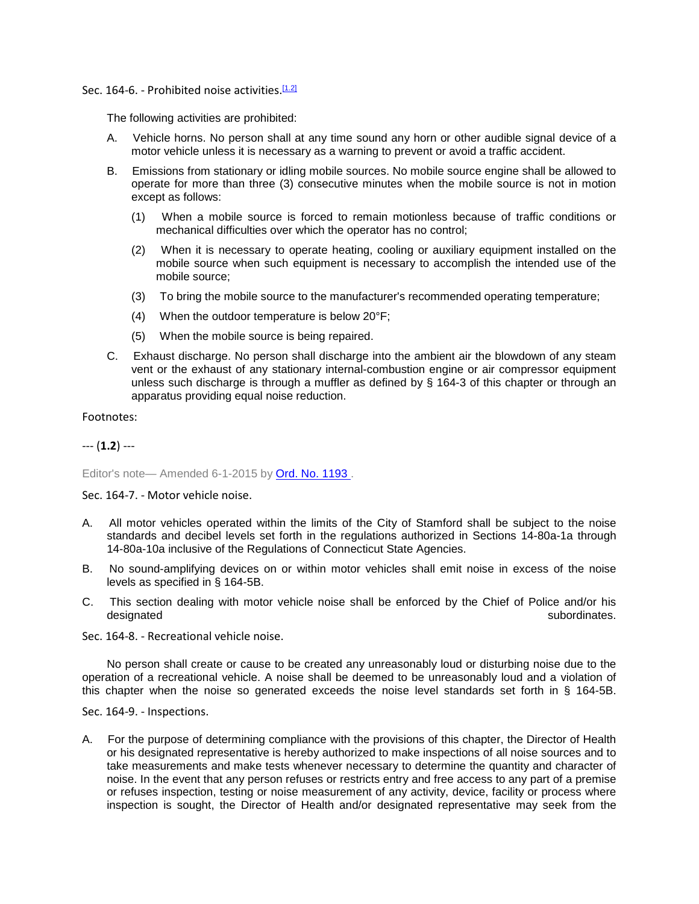Sec. 164-6. - Prohibited noise activities.<sup>[1.2]</sup>

The following activities are prohibited:

- A. Vehicle horns. No person shall at any time sound any horn or other audible signal device of a motor vehicle unless it is necessary as a warning to prevent or avoid a traffic accident.
- B. Emissions from stationary or idling mobile sources. No mobile source engine shall be allowed to operate for more than three (3) consecutive minutes when the mobile source is not in motion except as follows:
	- (1) When a mobile source is forced to remain motionless because of traffic conditions or mechanical difficulties over which the operator has no control;
	- (2) When it is necessary to operate heating, cooling or auxiliary equipment installed on the mobile source when such equipment is necessary to accomplish the intended use of the mobile source;
	- (3) To bring the mobile source to the manufacturer's recommended operating temperature;
	- (4) When the outdoor temperature is below 20°F;
	- (5) When the mobile source is being repaired.
- C. Exhaust discharge. No person shall discharge into the ambient air the blowdown of any steam vent or the exhaust of any stationary internal-combustion engine or air compressor equipment unless such discharge is through a muffler as defined by § 164-3 of this chapter or through an apparatus providing equal noise reduction.

Footnotes:

--- (**1.2**) ---

Editor's note-Amended 6-1-2015 by Ord. No. 1193.

Sec. 164-7. - Motor vehicle noise.

- A. All motor vehicles operated within the limits of the City of Stamford shall be subject to the noise standards and decibel levels set forth in the regulations authorized in Sections 14-80a-1a through 14-80a-10a inclusive of the Regulations of Connecticut State Agencies.
- B. No sound-amplifying devices on or within motor vehicles shall emit noise in excess of the noise levels as specified in § 164-5B.
- C. This section dealing with motor vehicle noise shall be enforced by the Chief of Police and/or his subordinates.
- Sec. 164-8. Recreational vehicle noise.

No person shall create or cause to be created any unreasonably loud or disturbing noise due to the operation of a recreational vehicle. A noise shall be deemed to be unreasonably loud and a violation of this chapter when the noise so generated exceeds the noise level standards set forth in § 164-5B.

Sec. 164-9. - Inspections.

A. For the purpose of determining compliance with the provisions of this chapter, the Director of Health or his designated representative is hereby authorized to make inspections of all noise sources and to take measurements and make tests whenever necessary to determine the quantity and character of noise. In the event that any person refuses or restricts entry and free access to any part of a premise or refuses inspection, testing or noise measurement of any activity, device, facility or process where inspection is sought, the Director of Health and/or designated representative may seek from the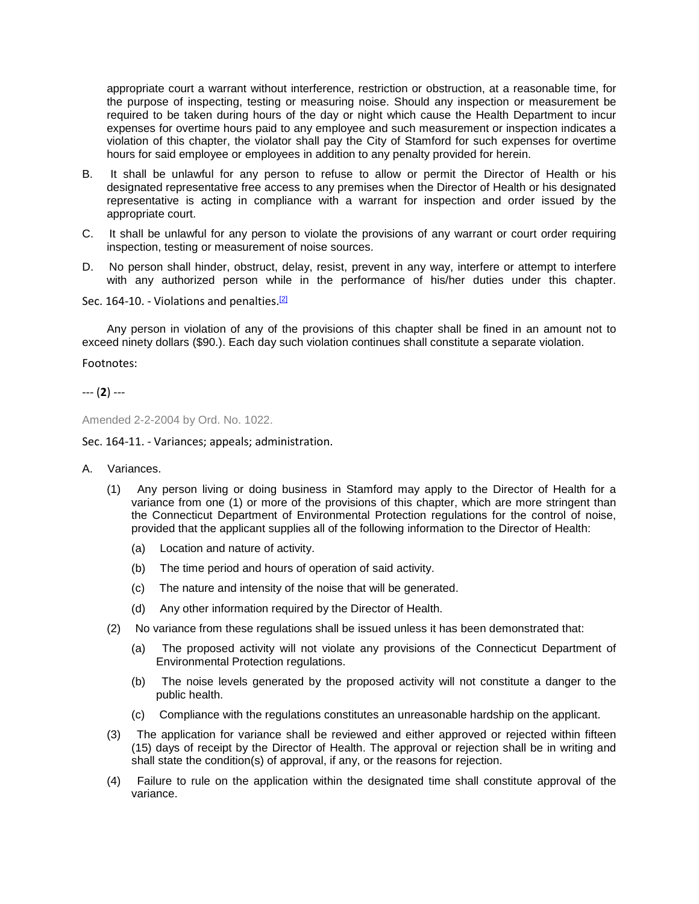appropriate court a warrant without interference, restriction or obstruction, at a reasonable time, for the purpose of inspecting, testing or measuring noise. Should any inspection or measurement be required to be taken during hours of the day or night which cause the Health Department to incur expenses for overtime hours paid to any employee and such measurement or inspection indicates a violation of this chapter, the violator shall pay the City of Stamford for such expenses for overtime hours for said employee or employees in addition to any penalty provided for herein.

- B. It shall be unlawful for any person to refuse to allow or permit the Director of Health or his designated representative free access to any premises when the Director of Health or his designated representative is acting in compliance with a warrant for inspection and order issued by the appropriate court.
- C. It shall be unlawful for any person to violate the provisions of any warrant or court order requiring inspection, testing or measurement of noise sources.
- D. No person shall hinder, obstruct, delay, resist, prevent in any way, interfere or attempt to interfere with any authorized person while in the performance of his/her duties under this chapter.

Sec. 164-10. - Violations and penalties.<sup>[2]</sup>

Any person in violation of any of the provisions of this chapter shall be fined in an amount not to exceed ninety dollars (\$90.). Each day such violation continues shall constitute a separate violation.

Footnotes:

## --- (**2**) ---

Amended 2-2-2004 by Ord. No. 1022.

Sec. 164-11. - Variances; appeals; administration.

- A. Variances.
	- (1) Any person living or doing business in Stamford may apply to the Director of Health for a variance from one (1) or more of the provisions of this chapter, which are more stringent than the Connecticut Department of Environmental Protection regulations for the control of noise, provided that the applicant supplies all of the following information to the Director of Health:
		- (a) Location and nature of activity.
		- (b) The time period and hours of operation of said activity.
		- (c) The nature and intensity of the noise that will be generated.
		- (d) Any other information required by the Director of Health.
	- (2) No variance from these regulations shall be issued unless it has been demonstrated that:
		- (a) The proposed activity will not violate any provisions of the Connecticut Department of Environmental Protection regulations.
		- (b) The noise levels generated by the proposed activity will not constitute a danger to the public health.
		- (c) Compliance with the regulations constitutes an unreasonable hardship on the applicant.
	- (3) The application for variance shall be reviewed and either approved or rejected within fifteen (15) days of receipt by the Director of Health. The approval or rejection shall be in writing and shall state the condition(s) of approval, if any, or the reasons for rejection.
	- (4) Failure to rule on the application within the designated time shall constitute approval of the variance.